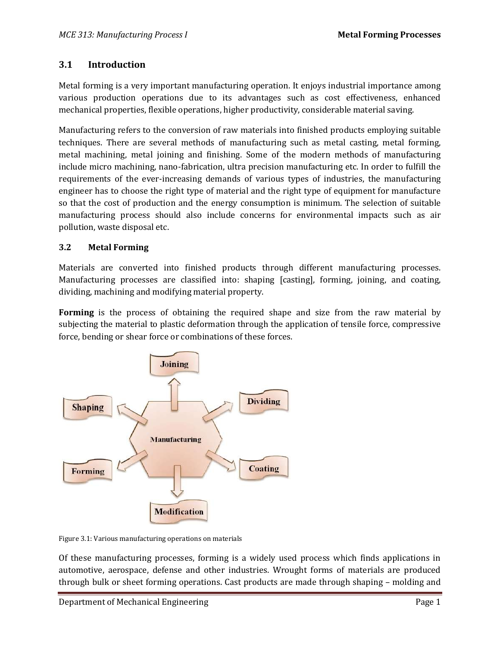# **3.1 Introduction**

Metal forming is a very important manufacturing operation. It enjoys industrial importance among various production operations due to its advantages such as cost effectiveness, enhanced mechanical properties, flexible operations, higher productivity, considerable material saving.

Manufacturing refers to the conversion of raw materials into finished products employing suitable techniques. There are several methods of manufacturing such as metal casting, metal forming, metal machining, metal joining and finishing. Some of the modern methods of manufacturing include micro machining, nano-fabrication, ultra precision manufacturing etc. In order to fulfill the requirements of the ever-increasing demands of various types of industries, the manufacturing engineer has to choose the right type of material and the right type of equipment for manufacture so that the cost of production and the energy consumption is minimum. The selection of suitable manufacturing process should also include concerns for environmental impacts such as air pollution, waste disposal etc.

# **3.2 Metal Forming**

Materials are converted into finished products through different manufacturing processes. Manufacturing processes are classified into: shaping [casting], forming, joining, and coating, dividing, machining and modifying material property.

**Forming** is the process of obtaining the required shape and size from the raw material by subjecting the material to plastic deformation through the application of tensile force, compressive force, bending or shear force or combinations of these forces.



Figure 3.1: Various manufacturing operations on materials

Of these manufacturing processes, forming is a widely used process which finds applications in automotive, aerospace, defense and other industries. Wrought forms of materials are produced through bulk or sheet forming operations. Cast products are made through shaping – molding and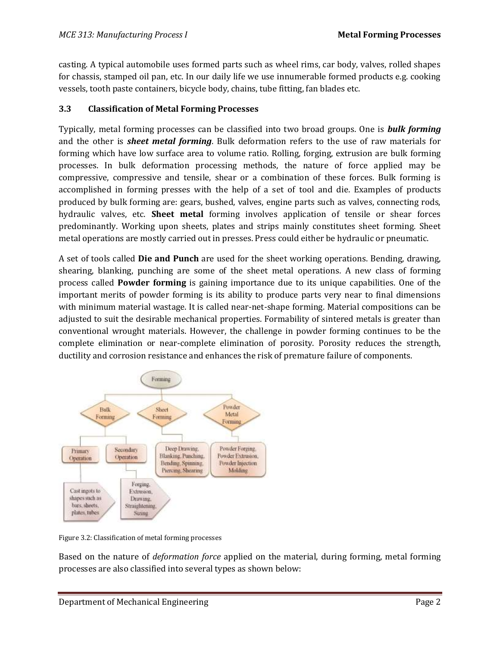casting. A typical automobile uses formed parts such as wheel rims, car body, valves, rolled shapes for chassis, stamped oil pan, etc. In our daily life we use innumerable formed products e.g. cooking vessels, tooth paste containers, bicycle body, chains, tube fitting, fan blades etc.

## **3.3 Classification of Metal Forming Processes**

Typically, metal forming processes can be classified into two broad groups. One is *bulk forming* and the other is *sheet metal forming*. Bulk deformation refers to the use of raw materials for forming which have low surface area to volume ratio. Rolling, forging, extrusion are bulk forming processes. In bulk deformation processing methods, the nature of force applied may be compressive, compressive and tensile, shear or a combination of these forces. Bulk forming is accomplished in forming presses with the help of a set of tool and die. Examples of products produced by bulk forming are: gears, bushed, valves, engine parts such as valves, connecting rods, hydraulic valves, etc. **Sheet metal** forming involves application of tensile or shear forces predominantly. Working upon sheets, plates and strips mainly constitutes sheet forming. Sheet metal operations are mostly carried out in presses. Press could either be hydraulic or pneumatic.

A set of tools called **Die and Punch** are used for the sheet working operations. Bending, drawing, shearing, blanking, punching are some of the sheet metal operations. A new class of forming process called **Powder forming** is gaining importance due to its unique capabilities. One of the important merits of powder forming is its ability to produce parts very near to final dimensions with minimum material wastage. It is called near-net-shape forming. Material compositions can be adjusted to suit the desirable mechanical properties. Formability of sintered metals is greater than conventional wrought materials. However, the challenge in powder forming continues to be the complete elimination or near-complete elimination of porosity. Porosity reduces the strength, ductility and corrosion resistance and enhances the risk of premature failure of components.



Figure 3.2: Classification of metal forming processes

Based on the nature of *deformation force* applied on the material, during forming, metal forming processes are also classified into several types as shown below: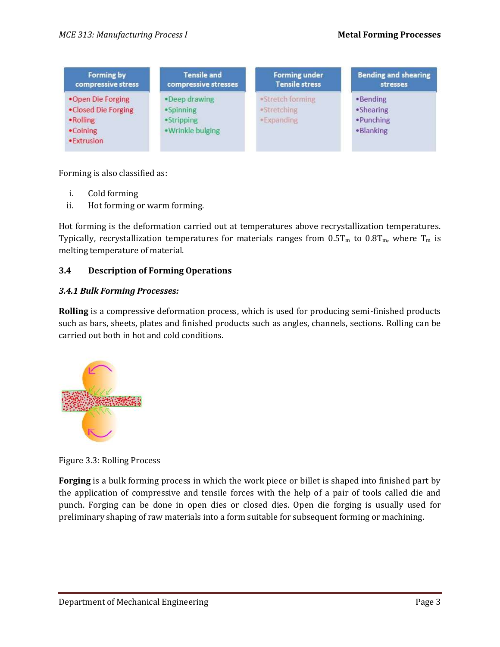| Forming by                                                                       | <b>Tensile and</b>                                               | <b>Forming under</b>                                 | <b>Bending and shearing</b>                     |
|----------------------------------------------------------------------------------|------------------------------------------------------------------|------------------------------------------------------|-------------------------------------------------|
| compressive stress                                                               | compressive stresses                                             | <b>Tensile stress</b>                                | stresses                                        |
| .Open Die Forging<br>•Closed Die Forging<br>• Rolling<br>•Coining<br>• Extrusion | . Deep drawing<br>$-Spinning$<br>·Stripping<br>· Wrinkle bulging | ·Stretch forming<br><b>•Stretching</b><br>·Expanding | •Bending<br>•Shearing<br>•Punching<br>·Blanking |

Forming is also classified as:

- i. Cold forming
- ii. Hot forming or warm forming.

Hot forming is the deformation carried out at temperatures above recrystallization temperatures. Typically, recrystallization temperatures for materials ranges from  $0.5T<sub>m</sub>$  to  $0.8T<sub>m</sub>$ , where  $T<sub>m</sub>$  is melting temperature of material.

### **3.4 Description of Forming Operations**

#### *3.4.1 Bulk Forming Processes:*

**Rolling** is a compressive deformation process, which is used for producing semi-finished products such as bars, sheets, plates and finished products such as angles, channels, sections. Rolling can be carried out both in hot and cold conditions.



Figure 3.3: Rolling Process

**Forging** is a bulk forming process in which the work piece or billet is shaped into finished part by the application of compressive and tensile forces with the help of a pair of tools called die and punch. Forging can be done in open dies or closed dies. Open die forging is usually used for preliminary shaping of raw materials into a form suitable for subsequent forming or machining.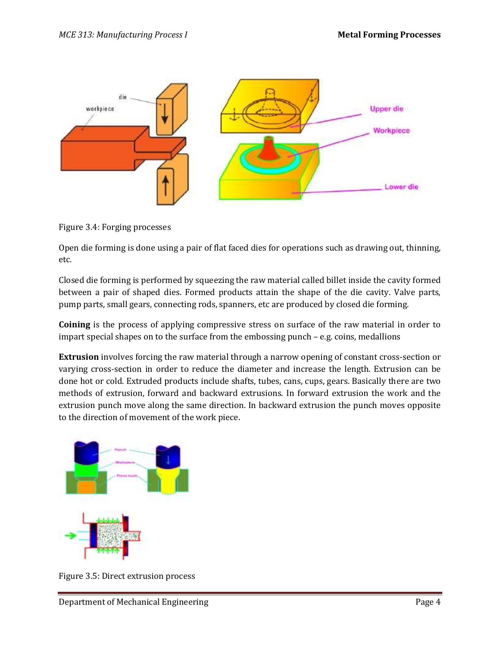

Figure 3.4: Forging processes

Open die forming is done using a pair of flat faced dies for operations such as drawing out, thinning, etc.

Closed die forming is performed by squeezing the raw material called billet inside the cavity formed between a pair of shaped dies. Formed products attain the shape of the die cavity. Valve parts, pump parts, small gears, connecting rods, spanners, etc are produced by closed die forming.

**Coining** is the process of applying compressive stress on surface of the raw material in order to impart special shapes on to the surface from the embossing punch – e.g. coins, medallions

**Extrusion** involves forcing the raw material through a narrow opening of constant cross-section or varying cross-section in order to reduce the diameter and increase the length. Extrusion can be done hot or cold. Extruded products include shafts, tubes, cans, cups, gears. Basically there are two methods of extrusion, forward and backward extrusions. In forward extrusion the work and the extrusion punch move along the same direction. In backward extrusion the punch moves opposite to the direction of movement of the work piece.



Figure 3.5: Direct extrusion process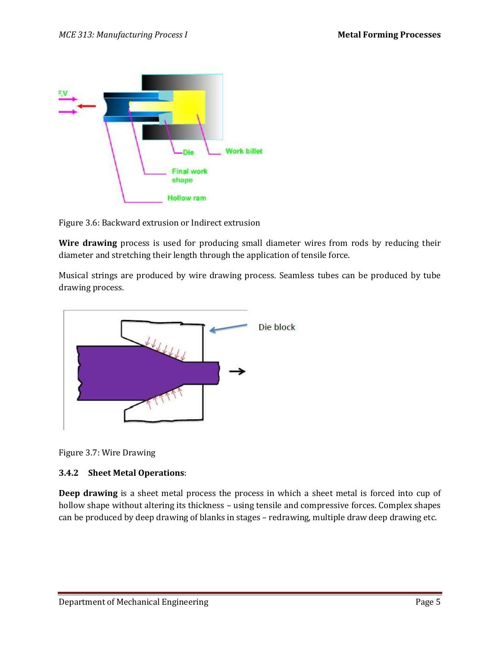

Figure 3.6: Backward extrusion or Indirect extrusion

**Wire drawing** process is used for producing small diameter wires from rods by reducing their diameter and stretching their length through the application of tensile force.

Musical strings are produced by wire drawing process. Seamless tubes can be produced by tube drawing process.



Figure 3.7: Wire Drawing

### **3.4.2 Sheet Metal Operations**:

**Deep drawing** is a sheet metal process the process in which a sheet metal is forced into cup of hollow shape without altering its thickness – using tensile and compressive forces. Complex shapes can be produced by deep drawing of blanks in stages – redrawing, multiple draw deep drawing etc.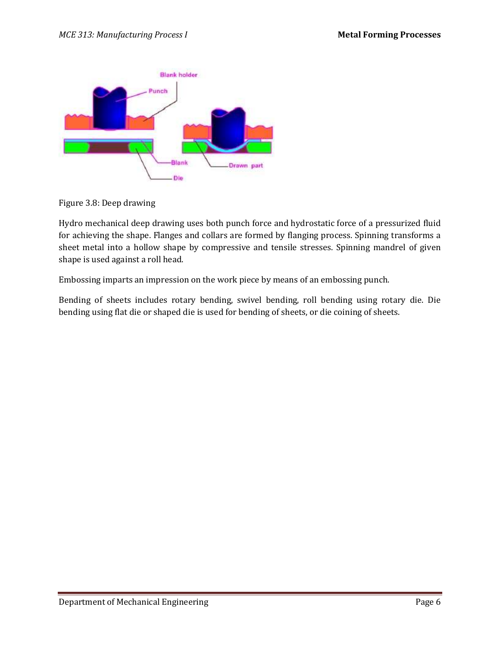

Figure 3.8: Deep drawing

Hydro mechanical deep drawing uses both punch force and hydrostatic force of a pressurized fluid for achieving the shape. Flanges and collars are formed by flanging process. Spinning transforms a sheet metal into a hollow shape by compressive and tensile stresses. Spinning mandrel of given shape is used against a roll head.

Embossing imparts an impression on the work piece by means of an embossing punch.

Bending of sheets includes rotary bending, swivel bending, roll bending using rotary die. Die bending using flat die or shaped die is used for bending of sheets, or die coining of sheets.